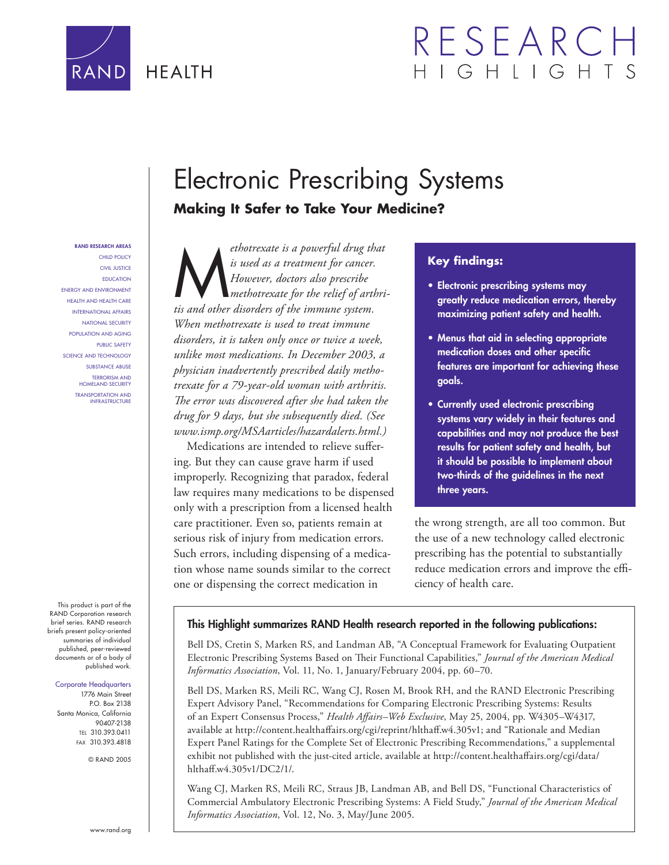

# RESEARC HIGHLIGH

# Electronic Prescribing Systems

## **Making It Safer to Take Your Medicine?**

#### **RAND RESEARCH AREAS**

CHILD POLICY CIVIL JUSTICE EDUCATION ENERGY AND ENVIRONMENT HEALTH AND HEALTH CARE INTERNATIONAL AFFAIRS NATIONAL SECURITY POPULATION AND AGING PUBLIC SAFETY SCIENCE AND TECHNOLOGY SUBSTANCE ABUSE TERRORISM AND HOMELAND SECURITY TRANSPORTATION AND INFRASTRUCTURE

This product is part of the RAND Corporation research brief series. RAND research briefs present policy-oriented summaries of individual published, peer-reviewed documents or of a body of published work.

#### Corporate Headquarters

1776 Main Street P.O. Box 2138 Santa Monica, California 90407-2138 TEL 310.393.0411 FAX 310.393.4818

© RAND 2005

ethotrexate is a powerful drug that<br>
is used as a treatment for cancer.<br>
However, doctors also prescribe<br>
tis and other disorders of the immune system *is used as a treatment for cancer. However, doctors also prescribe methotrexate for the relief of arthritis and other disorders of the immune system. When methotrexate is used to treat immune disorders, it is taken only once or twice a week, unlike most medications. In December 2003, a physician inadvertently prescribed daily methotrexate for a 79-year-old woman with arthritis.*  The error was discovered after she had taken the *drug for 9 days, but she subsequently died. (See www.ismp.org/MSAarticles/hazardalerts.html.)*

Medications are intended to relieve suffering. But they can cause grave harm if used improperly. Recognizing that paradox, federal law requires many medications to be dispensed only with a prescription from a licensed health care practitioner. Even so, patients remain at serious risk of injury from medication errors. Such errors, including dispensing of a medication whose name sounds similar to the correct one or dispensing the correct medication in

### **Key findings:**

- **Electronic prescribing systems may greatly reduce medication errors, thereby maximizing patient safety and health.**
- **Menus that aid in selecting appropriate**  medication doses and other specific **features are important for achieving these goals.**
- **Currently used electronic prescribing systems vary widely in their features and capabilities and may not produce the best results for patient safety and health, but it should be possible to implement about two-thirds of the guidelines in the next three years.**

the wrong strength, are all too common. But the use of a new technology called electronic prescribing has the potential to substantially reduce medication errors and improve the efficiency of health care.

#### **This Highlight summarizes RAND Health research reported in the following publications:**

Bell DS, Cretin S, Marken RS, and Landman AB, "A Conceptual Framework for Evaluating Outpatient Electronic Prescribing Systems Based on Their Functional Capabilities," Journal of the American Medical *Informatics Association*, Vol. 11, No. 1, January/February 2004, pp. 60–70.

Bell DS, Marken RS, Meili RC, Wang CJ, Rosen M, Brook RH, and the RAND Electronic Prescribing Expert Advisory Panel, "Recommendations for Comparing Electronic Prescribing Systems: Results of an Expert Consensus Process," *Health Aff airs–Web Exclusive*, May 25, 2004, pp. W4305–W4317, available at http://content.healthaffairs.org/cgi/reprint/hlthaff.w4.305v1; and "Rationale and Median Expert Panel Ratings for the Complete Set of Electronic Prescribing Recommendations," a supplemental exhibit not published with the just-cited article, available at http://content.healthaffairs.org/cgi/data/ hlthaff.w4.305v1/DC2/1/.

Wang CJ, Marken RS, Meili RC, Straus JB, Landman AB, and Bell DS, "Functional Characteristics of Commercial Ambulatory Electronic Prescribing Systems: A Field Study," *Journal of the American Medical Informatics Association*, Vol. 12, No. 3, May/June 2005.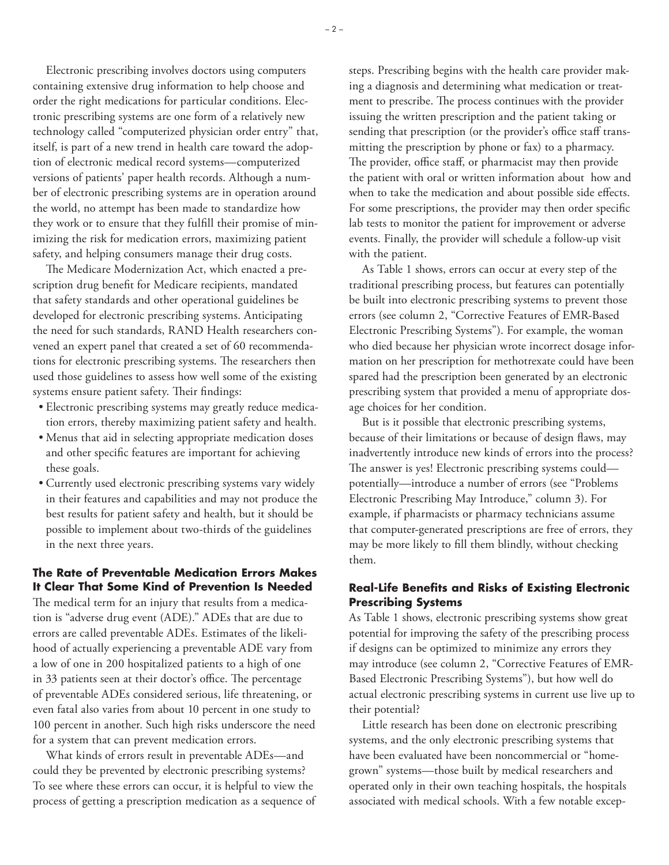Electronic prescribing involves doctors using computers containing extensive drug information to help choose and order the right medications for particular conditions. Electronic prescribing systems are one form of a relatively new technology called "computerized physician order entry" that, itself, is part of a new trend in health care toward the adoption of electronic medical record systems—computerized versions of patients' paper health records. Although a number of electronic prescribing systems are in operation around the world, no attempt has been made to standardize how they work or to ensure that they fulfill their promise of minimizing the risk for medication errors, maximizing patient safety, and helping consumers manage their drug costs.

The Medicare Modernization Act, which enacted a prescription drug benefit for Medicare recipients, mandated that safety standards and other operational guidelines be developed for electronic prescribing systems. Anticipating the need for such standards, RAND Health researchers convened an expert panel that created a set of 60 recommendations for electronic prescribing systems. The researchers then used those guidelines to assess how well some of the existing systems ensure patient safety. Their findings:

- Electronic prescribing systems may greatly reduce medication errors, thereby maximizing patient safety and health.
- Menus that aid in selecting appropriate medication doses and other specific features are important for achieving these goals.
- Currently used electronic prescribing systems vary widely in their features and capabilities and may not produce the best results for patient safety and health, but it should be possible to implement about two-thirds of the guidelines in the next three years.

### **The Rate of Preventable Medication Errors Makes It Clear That Some Kind of Prevention Is Needed**

The medical term for an injury that results from a medication is "adverse drug event (ADE)." ADEs that are due to errors are called preventable ADEs. Estimates of the likelihood of actually experiencing a preventable ADE vary from a low of one in 200 hospitalized patients to a high of one in 33 patients seen at their doctor's office. The percentage of preventable ADEs considered serious, life threatening, or even fatal also varies from about 10 percent in one study to 100 percent in another. Such high risks underscore the need for a system that can prevent medication errors.

What kinds of errors result in preventable ADEs—and could they be prevented by electronic prescribing systems? To see where these errors can occur, it is helpful to view the process of getting a prescription medication as a sequence of

steps. Prescribing begins with the health care provider making a diagnosis and determining what medication or treatment to prescribe. The process continues with the provider issuing the written prescription and the patient taking or sending that prescription (or the provider's office staff transmitting the prescription by phone or fax) to a pharmacy. The provider, office staff, or pharmacist may then provide the patient with oral or written information about how and when to take the medication and about possible side effects. For some prescriptions, the provider may then order specific lab tests to monitor the patient for improvement or adverse events. Finally, the provider will schedule a follow-up visit with the patient.

As Table 1 shows, errors can occur at every step of the traditional prescribing process, but features can potentially be built into electronic prescribing systems to prevent those errors (see column 2, "Corrective Features of EMR-Based Electronic Prescribing Systems"). For example, the woman who died because her physician wrote incorrect dosage information on her prescription for methotrexate could have been spared had the prescription been generated by an electronic prescribing system that provided a menu of appropriate dosage choices for her condition.

But is it possible that electronic prescribing systems, because of their limitations or because of design flaws, may inadvertently introduce new kinds of errors into the process? The answer is yes! Electronic prescribing systems could potentially—introduce a number of errors (see "Problems Electronic Prescribing May Introduce," column 3). For example, if pharmacists or pharmacy technicians assume that computer-generated prescriptions are free of errors, they may be more likely to fill them blindly, without checking them.

#### **Real-Life Benefits and Risks of Existing Electronic Prescribing Systems**

As Table 1 shows, electronic prescribing systems show great potential for improving the safety of the prescribing process if designs can be optimized to minimize any errors they may introduce (see column 2, "Corrective Features of EMR-Based Electronic Prescribing Systems"), but how well do actual electronic prescribing systems in current use live up to their potential?

Little research has been done on electronic prescribing systems, and the only electronic prescribing systems that have been evaluated have been noncommercial or "homegrown" systems—those built by medical researchers and operated only in their own teaching hospitals, the hospitals associated with medical schools. With a few notable excep-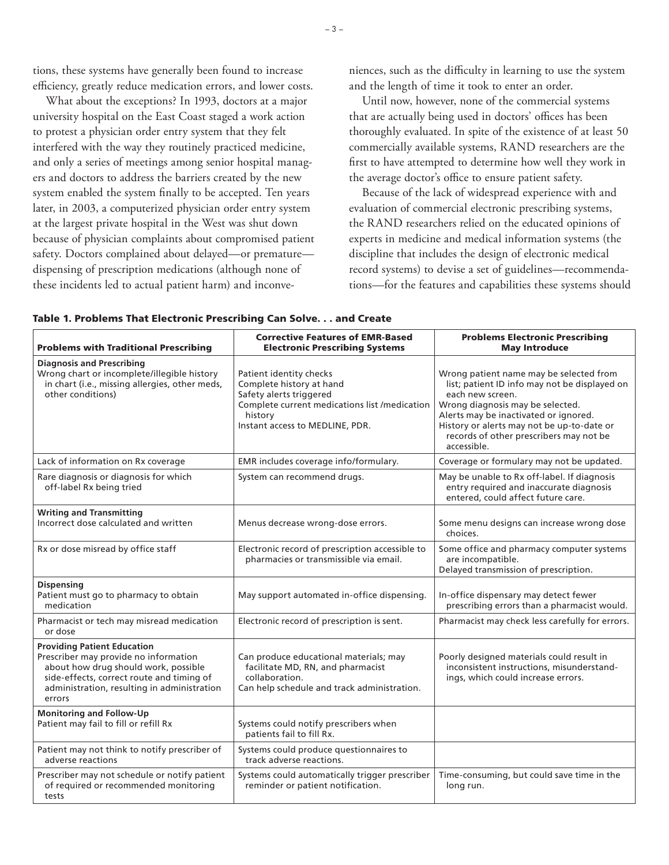tions, these systems have generally been found to increase efficiency, greatly reduce medication errors, and lower costs.

What about the exceptions? In 1993, doctors at a major university hospital on the East Coast staged a work action to protest a physician order entry system that they felt interfered with the way they routinely practiced medicine, and only a series of meetings among senior hospital managers and doctors to address the barriers created by the new system enabled the system finally to be accepted. Ten years later, in 2003, a computerized physician order entry system at the largest private hospital in the West was shut down because of physician complaints about compromised patient safety. Doctors complained about delayed—or premature dispensing of prescription medications (although none of these incidents led to actual patient harm) and inconve-

niences, such as the difficulty in learning to use the system and the length of time it took to enter an order.

Until now, however, none of the commercial systems that are actually being used in doctors' offices has been thoroughly evaluated. In spite of the existence of at least 50 commercially available systems, RAND researchers are the first to have attempted to determine how well they work in the average doctor's office to ensure patient safety.

Because of the lack of widespread experience with and evaluation of commercial electronic prescribing systems, the RAND researchers relied on the educated opinions of experts in medicine and medical information systems (the discipline that includes the design of electronic medical record systems) to devise a set of guidelines—recommendations—for the features and capabilities these systems should

| <b>Problems with Traditional Prescribing</b>                                                                                                                                                                              | <b>Corrective Features of EMR-Based</b><br><b>Electronic Prescribing Systems</b>                                                                                              | <b>Problems Electronic Prescribing</b><br><b>May Introduce</b>                                                                                                                                                                                                                                    |  |
|---------------------------------------------------------------------------------------------------------------------------------------------------------------------------------------------------------------------------|-------------------------------------------------------------------------------------------------------------------------------------------------------------------------------|---------------------------------------------------------------------------------------------------------------------------------------------------------------------------------------------------------------------------------------------------------------------------------------------------|--|
| <b>Diagnosis and Prescribing</b><br>Wrong chart or incomplete/illegible history<br>in chart (i.e., missing allergies, other meds,<br>other conditions)                                                                    | Patient identity checks<br>Complete history at hand<br>Safety alerts triggered<br>Complete current medications list /medication<br>history<br>Instant access to MEDLINE, PDR. | Wrong patient name may be selected from<br>list; patient ID info may not be displayed on<br>each new screen.<br>Wrong diagnosis may be selected.<br>Alerts may be inactivated or ignored.<br>History or alerts may not be up-to-date or<br>records of other prescribers may not be<br>accessible. |  |
| Lack of information on Rx coverage                                                                                                                                                                                        | EMR includes coverage info/formulary.                                                                                                                                         | Coverage or formulary may not be updated.                                                                                                                                                                                                                                                         |  |
| Rare diagnosis or diagnosis for which<br>off-label Rx being tried                                                                                                                                                         | System can recommend drugs.                                                                                                                                                   | May be unable to Rx off-label. If diagnosis<br>entry required and inaccurate diagnosis<br>entered, could affect future care.                                                                                                                                                                      |  |
| <b>Writing and Transmitting</b><br>Incorrect dose calculated and written                                                                                                                                                  | Menus decrease wrong-dose errors.                                                                                                                                             | Some menu designs can increase wrong dose<br>choices.                                                                                                                                                                                                                                             |  |
| Rx or dose misread by office staff                                                                                                                                                                                        | Electronic record of prescription accessible to<br>pharmacies or transmissible via email.                                                                                     | Some office and pharmacy computer systems<br>are incompatible.<br>Delayed transmission of prescription.                                                                                                                                                                                           |  |
| <b>Dispensing</b><br>Patient must go to pharmacy to obtain<br>medication                                                                                                                                                  | May support automated in-office dispensing.                                                                                                                                   | In-office dispensary may detect fewer<br>prescribing errors than a pharmacist would.                                                                                                                                                                                                              |  |
| Pharmacist or tech may misread medication<br>or dose                                                                                                                                                                      | Electronic record of prescription is sent.                                                                                                                                    | Pharmacist may check less carefully for errors.                                                                                                                                                                                                                                                   |  |
| <b>Providing Patient Education</b><br>Prescriber may provide no information<br>about how drug should work, possible<br>side-effects, correct route and timing of<br>administration, resulting in administration<br>errors | Can produce educational materials; may<br>facilitate MD, RN, and pharmacist<br>collaboration.<br>Can help schedule and track administration.                                  | Poorly designed materials could result in<br>inconsistent instructions, misunderstand-<br>ings, which could increase errors.                                                                                                                                                                      |  |
| <b>Monitoring and Follow-Up</b><br>Patient may fail to fill or refill Rx                                                                                                                                                  | Systems could notify prescribers when<br>patients fail to fill Rx.                                                                                                            |                                                                                                                                                                                                                                                                                                   |  |
| Patient may not think to notify prescriber of<br>adverse reactions                                                                                                                                                        | Systems could produce questionnaires to<br>track adverse reactions.                                                                                                           |                                                                                                                                                                                                                                                                                                   |  |
| Prescriber may not schedule or notify patient<br>of required or recommended monitoring<br>tests                                                                                                                           | Systems could automatically trigger prescriber<br>reminder or patient notification.                                                                                           | Time-consuming, but could save time in the<br>long run.                                                                                                                                                                                                                                           |  |

| Table 1. Problems That Electronic Prescribing Can Solve. and Create |  |
|---------------------------------------------------------------------|--|
|---------------------------------------------------------------------|--|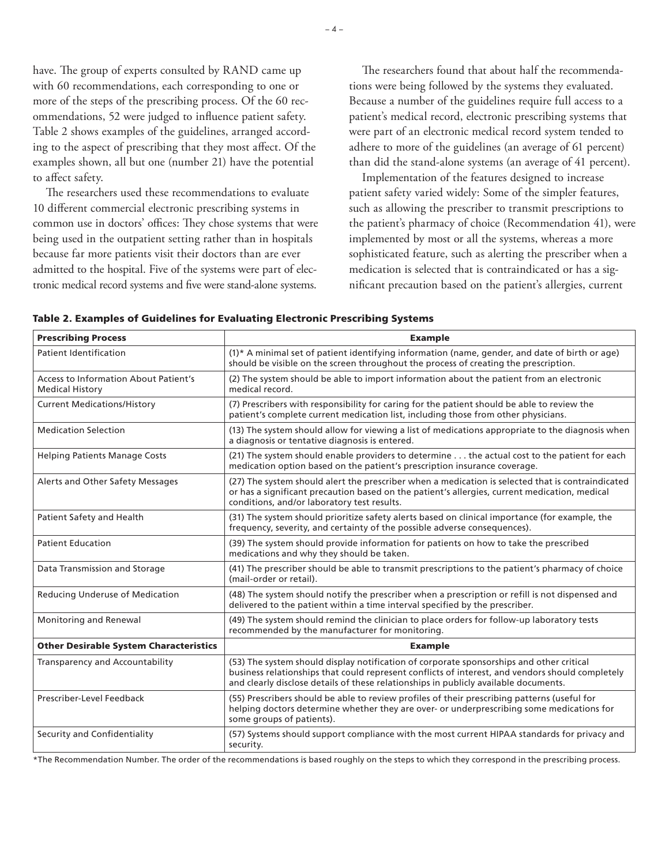have. The group of experts consulted by RAND came up with 60 recommendations, each corresponding to one or more of the steps of the prescribing process. Of the 60 recommendations, 52 were judged to influence patient safety. Table 2 shows examples of the guidelines, arranged according to the aspect of prescribing that they most affect. Of the examples shown, all but one (number 21) have the potential to affect safety.

The researchers used these recommendations to evaluate 10 different commercial electronic prescribing systems in common use in doctors' offices: They chose systems that were being used in the outpatient setting rather than in hospitals because far more patients visit their doctors than are ever admitted to the hospital. Five of the systems were part of electronic medical record systems and five were stand-alone systems.

The researchers found that about half the recommendations were being followed by the systems they evaluated. Because a number of the guidelines require full access to a patient's medical record, electronic prescribing systems that were part of an electronic medical record system tended to adhere to more of the guidelines (an average of 61 percent) than did the stand-alone systems (an average of 41 percent).

Implementation of the features designed to increase patient safety varied widely: Some of the simpler features, such as allowing the prescriber to transmit prescriptions to the patient's pharmacy of choice (Recommendation 41), were implemented by most or all the systems, whereas a more sophisticated feature, such as alerting the prescriber when a medication is selected that is contraindicated or has a significant precaution based on the patient's allergies, current

|  |  | Table 2. Examples of Guidelines for Evaluating Electronic Prescribing Systems |  |  |  |  |
|--|--|-------------------------------------------------------------------------------|--|--|--|--|
|--|--|-------------------------------------------------------------------------------|--|--|--|--|

| <b>Prescribing Process</b>                                             | <b>Example</b>                                                                                                                                                                                                                                                                       |  |
|------------------------------------------------------------------------|--------------------------------------------------------------------------------------------------------------------------------------------------------------------------------------------------------------------------------------------------------------------------------------|--|
| Patient Identification                                                 | (1)* A minimal set of patient identifying information (name, gender, and date of birth or age)<br>should be visible on the screen throughout the process of creating the prescription.                                                                                               |  |
| <b>Access to Information About Patient's</b><br><b>Medical History</b> | (2) The system should be able to import information about the patient from an electronic<br>medical record.                                                                                                                                                                          |  |
| <b>Current Medications/History</b>                                     | (7) Prescribers with responsibility for caring for the patient should be able to review the<br>patient's complete current medication list, including those from other physicians.                                                                                                    |  |
| <b>Medication Selection</b>                                            | (13) The system should allow for viewing a list of medications appropriate to the diagnosis when<br>a diagnosis or tentative diagnosis is entered.                                                                                                                                   |  |
| <b>Helping Patients Manage Costs</b>                                   | (21) The system should enable providers to determine the actual cost to the patient for each<br>medication option based on the patient's prescription insurance coverage.                                                                                                            |  |
| Alerts and Other Safety Messages                                       | (27) The system should alert the prescriber when a medication is selected that is contraindicated<br>or has a significant precaution based on the patient's allergies, current medication, medical<br>conditions, and/or laboratory test results.                                    |  |
| Patient Safety and Health                                              | (31) The system should prioritize safety alerts based on clinical importance (for example, the<br>frequency, severity, and certainty of the possible adverse consequences).                                                                                                          |  |
| <b>Patient Education</b>                                               | (39) The system should provide information for patients on how to take the prescribed<br>medications and why they should be taken.                                                                                                                                                   |  |
| Data Transmission and Storage                                          | (41) The prescriber should be able to transmit prescriptions to the patient's pharmacy of choice<br>(mail-order or retail).                                                                                                                                                          |  |
| Reducing Underuse of Medication                                        | (48) The system should notify the prescriber when a prescription or refill is not dispensed and<br>delivered to the patient within a time interval specified by the prescriber.                                                                                                      |  |
| Monitoring and Renewal                                                 | (49) The system should remind the clinician to place orders for follow-up laboratory tests<br>recommended by the manufacturer for monitoring.                                                                                                                                        |  |
| <b>Other Desirable System Characteristics</b>                          | <b>Example</b>                                                                                                                                                                                                                                                                       |  |
| Transparency and Accountability                                        | (53) The system should display notification of corporate sponsorships and other critical<br>business relationships that could represent conflicts of interest, and vendors should completely<br>and clearly disclose details of these relationships in publicly available documents. |  |
| Prescriber-Level Feedback                                              | (55) Prescribers should be able to review profiles of their prescribing patterns (useful for<br>helping doctors determine whether they are over- or underprescribing some medications for<br>some groups of patients).                                                               |  |
| Security and Confidentiality                                           | (57) Systems should support compliance with the most current HIPAA standards for privacy and<br>security.                                                                                                                                                                            |  |

\*The Recommendation Number. The order of the recommendations is based roughly on the steps to which they correspond in the prescribing process.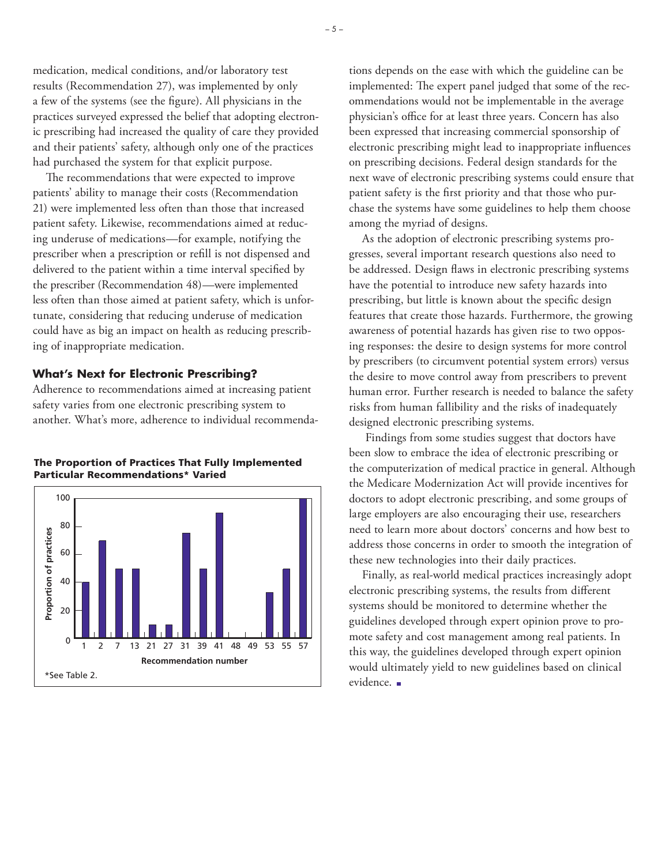medication, medical conditions, and/or laboratory test results (Recommendation 27), was implemented by only a few of the systems (see the figure). All physicians in the practices surveyed expressed the belief that adopting electronic prescribing had increased the quality of care they provided and their patients' safety, although only one of the practices had purchased the system for that explicit purpose.

The recommendations that were expected to improve patients' ability to manage their costs (Recommendation 21) were implemented less often than those that increased patient safety. Likewise, recommendations aimed at reducing underuse of medications—for example, notifying the prescriber when a prescription or refill is not dispensed and delivered to the patient within a time interval specified by the prescriber (Recommendation 48)—were implemented less often than those aimed at patient safety, which is unfortunate, considering that reducing underuse of medication could have as big an impact on health as reducing prescribing of inappropriate medication.

#### **What's Next for Electronic Prescribing?**

Adherence to recommendations aimed at increasing patient safety varies from one electronic prescribing system to another. What's more, adherence to individual recommenda-



#### **The Proportion of Practices That Fully Implemented Particular Recommendations\* Varied**

tions depends on the ease with which the guideline can be implemented: The expert panel judged that some of the recommendations would not be implementable in the average physician's office for at least three years. Concern has also been expressed that increasing commercial sponsorship of electronic prescribing might lead to inappropriate influences on prescribing decisions. Federal design standards for the next wave of electronic prescribing systems could ensure that patient safety is the first priority and that those who purchase the systems have some guidelines to help them choose among the myriad of designs.

As the adoption of electronic prescribing systems progresses, several important research questions also need to be addressed. Design flaws in electronic prescribing systems have the potential to introduce new safety hazards into prescribing, but little is known about the specific design features that create those hazards. Furthermore, the growing awareness of potential hazards has given rise to two opposing responses: the desire to design systems for more control by prescribers (to circumvent potential system errors) versus the desire to move control away from prescribers to prevent human error. Further research is needed to balance the safety risks from human fallibility and the risks of inadequately designed electronic prescribing systems.

 Findings from some studies suggest that doctors have been slow to embrace the idea of electronic prescribing or the computerization of medical practice in general. Although the Medicare Modernization Act will provide incentives for doctors to adopt electronic prescribing, and some groups of large employers are also encouraging their use, researchers need to learn more about doctors' concerns and how best to address those concerns in order to smooth the integration of these new technologies into their daily practices.

Finally, as real-world medical practices increasingly adopt electronic prescribing systems, the results from different systems should be monitored to determine whether the guidelines developed through expert opinion prove to promote safety and cost management among real patients. In this way, the guidelines developed through expert opinion would ultimately yield to new guidelines based on clinical evidence.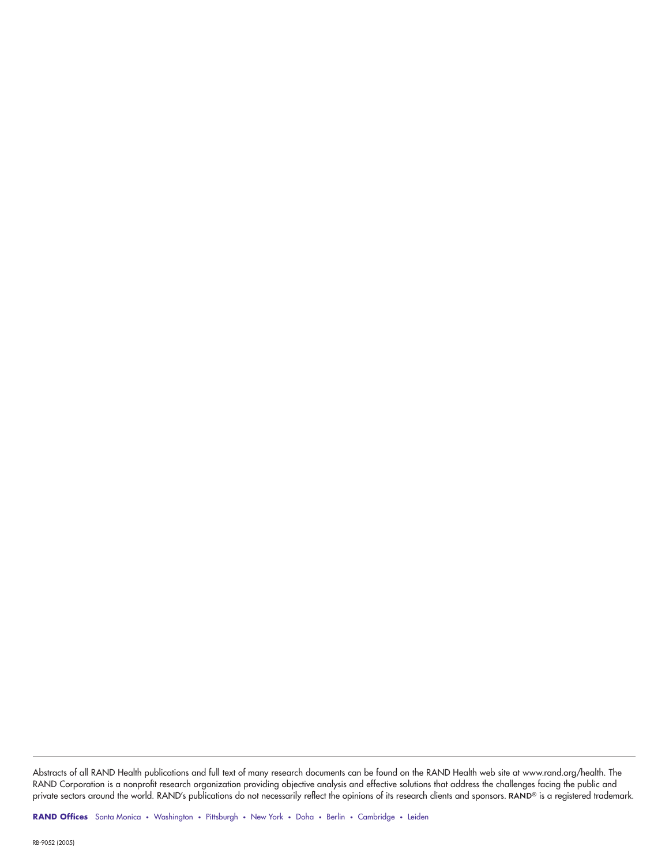Abstracts of all RAND Health publications and full text of many research documents can be found on the RAND Health web site at www.rand.org/health. The RAND Corporation is a nonprofit research organization providing objective analysis and effective solutions that address the challenges facing the public and<br>private sectors around the world. RAND's publications do not nece